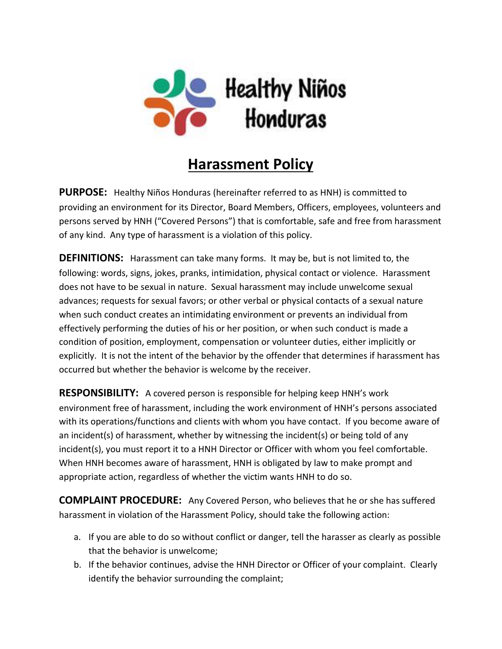

## **Harassment Policy**

**PURPOSE:** Healthy Niños Honduras (hereinafter referred to as HNH) is committed to providing an environment for its Director, Board Members, Officers, employees, volunteers and persons served by HNH ("Covered Persons") that is comfortable, safe and free from harassment of any kind. Any type of harassment is a violation of this policy.

**DEFINITIONS:** Harassment can take many forms. It may be, but is not limited to, the following: words, signs, jokes, pranks, intimidation, physical contact or violence. Harassment does not have to be sexual in nature. Sexual harassment may include unwelcome sexual advances; requests for sexual favors; or other verbal or physical contacts of a sexual nature when such conduct creates an intimidating environment or prevents an individual from effectively performing the duties of his or her position, or when such conduct is made a condition of position, employment, compensation or volunteer duties, either implicitly or explicitly. It is not the intent of the behavior by the offender that determines if harassment has occurred but whether the behavior is welcome by the receiver.

**RESPONSIBILITY:** A covered person is responsible for helping keep HNH's work environment free of harassment, including the work environment of HNH's persons associated with its operations/functions and clients with whom you have contact. If you become aware of an incident(s) of harassment, whether by witnessing the incident(s) or being told of any incident(s), you must report it to a HNH Director or Officer with whom you feel comfortable. When HNH becomes aware of harassment, HNH is obligated by law to make prompt and appropriate action, regardless of whether the victim wants HNH to do so.

**COMPLAINT PROCEDURE:** Any Covered Person, who believes that he or she has suffered harassment in violation of the Harassment Policy, should take the following action:

- a. If you are able to do so without conflict or danger, tell the harasser as clearly as possible that the behavior is unwelcome;
- b. If the behavior continues, advise the HNH Director or Officer of your complaint. Clearly identify the behavior surrounding the complaint;